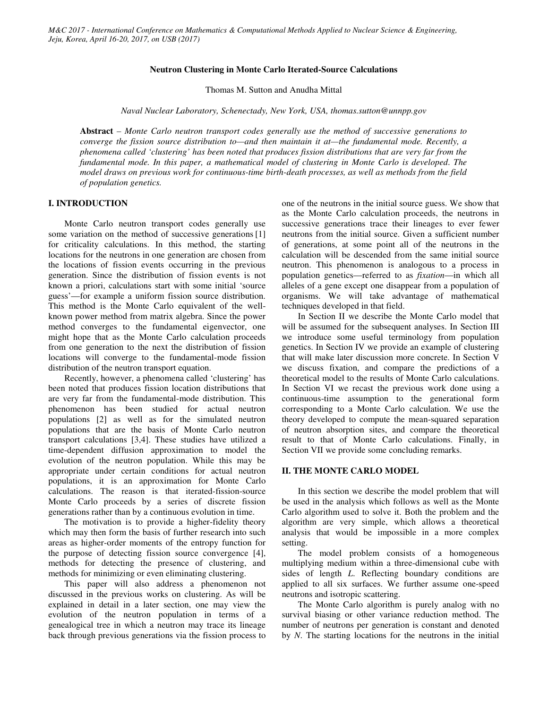### **Neutron Clustering in Monte Carlo Iterated-Source Calculations**

Thomas M. Sutton and Anudha Mittal

*Naval Nuclear Laboratory, Schenectady, New York, USA, thomas.sutton@unnpp.gov* 

**Abstract** *– Monte Carlo neutron transport codes generally use the method of successive generations to converge the fission source distribution to—and then maintain it at—the fundamental mode. Recently, a phenomena called 'clustering' has been noted that produces fission distributions that are very far from the fundamental mode. In this paper, a mathematical model of clustering in Monte Carlo is developed*. *The model draws on previous work for continuous-time birth-death processes, as well as methods from the field of population genetics.* 

# **I. INTRODUCTION**

Monte Carlo neutron transport codes generally use some variation on the method of successive generations [1] for criticality calculations. In this method, the starting locations for the neutrons in one generation are chosen from the locations of fission events occurring in the previous generation. Since the distribution of fission events is not known a priori, calculations start with some initial 'source guess'—for example a uniform fission source distribution. This method is the Monte Carlo equivalent of the wellknown power method from matrix algebra. Since the power method converges to the fundamental eigenvector, one might hope that as the Monte Carlo calculation proceeds from one generation to the next the distribution of fission locations will converge to the fundamental-mode fission distribution of the neutron transport equation.

Recently, however, a phenomena called 'clustering' has been noted that produces fission location distributions that are very far from the fundamental-mode distribution. This phenomenon has been studied for actual neutron populations [2] as well as for the simulated neutron populations that are the basis of Monte Carlo neutron transport calculations [3,4]. These studies have utilized a time-dependent diffusion approximation to model the evolution of the neutron population. While this may be appropriate under certain conditions for actual neutron populations, it is an approximation for Monte Carlo calculations. The reason is that iterated-fission-source Monte Carlo proceeds by a series of discrete fission generations rather than by a continuous evolution in time.

The motivation is to provide a higher-fidelity theory which may then form the basis of further research into such areas as higher-order moments of the entropy function for the purpose of detecting fission source convergence [4], methods for detecting the presence of clustering, and methods for minimizing or even eliminating clustering.

This paper will also address a phenomenon not discussed in the previous works on clustering. As will be explained in detail in a later section, one may view the evolution of the neutron population in terms of a genealogical tree in which a neutron may trace its lineage back through previous generations via the fission process to one of the neutrons in the initial source guess. We show that as the Monte Carlo calculation proceeds, the neutrons in successive generations trace their lineages to ever fewer neutrons from the initial source. Given a sufficient number of generations, at some point all of the neutrons in the calculation will be descended from the same initial source neutron. This phenomenon is analogous to a process in population genetics—referred to as *fixation*—in which all alleles of a gene except one disappear from a population of organisms. We will take advantage of mathematical techniques developed in that field.

In Section II we describe the Monte Carlo model that will be assumed for the subsequent analyses. In Section III we introduce some useful terminology from population genetics. In Section IV we provide an example of clustering that will make later discussion more concrete. In Section V we discuss fixation, and compare the predictions of a theoretical model to the results of Monte Carlo calculations. In Section VI we recast the previous work done using a continuous-time assumption to the generational form corresponding to a Monte Carlo calculation. We use the theory developed to compute the mean-squared separation of neutron absorption sites, and compare the theoretical result to that of Monte Carlo calculations. Finally, in Section VII we provide some concluding remarks.

#### **II. THE MONTE CARLO MODEL**

In this section we describe the model problem that will be used in the analysis which follows as well as the Monte Carlo algorithm used to solve it. Both the problem and the algorithm are very simple, which allows a theoretical analysis that would be impossible in a more complex setting.

The model problem consists of a homogeneous multiplying medium within a three-dimensional cube with sides of length *L*. Reflecting boundary conditions are applied to all six surfaces. We further assume one-speed neutrons and isotropic scattering.

The Monte Carlo algorithm is purely analog with no survival biasing or other variance reduction method. The number of neutrons per generation is constant and denoted by *N*. The starting locations for the neutrons in the initial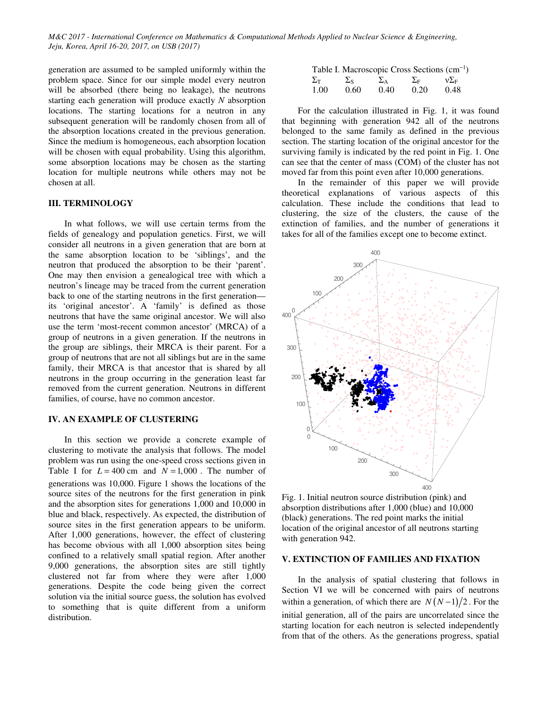generation are assumed to be sampled uniformly within the problem space. Since for our simple model every neutron will be absorbed (there being no leakage), the neutrons starting each generation will produce exactly *N* absorption locations. The starting locations for a neutron in any subsequent generation will be randomly chosen from all of the absorption locations created in the previous generation. Since the medium is homogeneous, each absorption location will be chosen with equal probability. Using this algorithm, some absorption locations may be chosen as the starting location for multiple neutrons while others may not be chosen at all.

# **III. TERMINOLOGY**

In what follows, we will use certain terms from the fields of genealogy and population genetics. First, we will consider all neutrons in a given generation that are born at the same absorption location to be 'siblings', and the neutron that produced the absorption to be their 'parent'. One may then envision a genealogical tree with which a neutron's lineage may be traced from the current generation back to one of the starting neutrons in the first generation its 'original ancestor'. A 'family' is defined as those neutrons that have the same original ancestor. We will also use the term 'most-recent common ancestor' (MRCA) of a group of neutrons in a given generation. If the neutrons in the group are siblings, their MRCA is their parent. For a group of neutrons that are not all siblings but are in the same family, their MRCA is that ancestor that is shared by all neutrons in the group occurring in the generation least far removed from the current generation. Neutrons in different families, of course, have no common ancestor.

# **IV. AN EXAMPLE OF CLUSTERING**

In this section we provide a concrete example of clustering to motivate the analysis that follows. The model problem was run using the one-speed cross sections given in Table I for  $L = 400$  cm and  $N = 1,000$ . The number of generations was 10,000. Figure 1 shows the locations of the source sites of the neutrons for the first generation in pink and the absorption sites for generations 1,000 and 10,000 in blue and black, respectively. As expected, the distribution of source sites in the first generation appears to be uniform. After 1,000 generations, however, the effect of clustering has become obvious with all 1,000 absorption sites being confined to a relatively small spatial region. After another 9,000 generations, the absorption sites are still tightly clustered not far from where they were after 1,000 generations. Despite the code being given the correct solution via the initial source guess, the solution has evolved to something that is quite different from a uniform distribution.

| Table I. Macroscopic Cross Sections $(cm-1)$ |                  |            |                  |                   |
|----------------------------------------------|------------------|------------|------------------|-------------------|
| $\Sigma_{\rm T}$                             | $\Sigma_{\rm S}$ | $\Sigma_A$ | $\Sigma_{\rm F}$ | $v\Sigma_{\rm F}$ |
| 1.00                                         | 0.60             | 0.40       | 0.20             | 0.48              |

For the calculation illustrated in Fig. 1, it was found that beginning with generation 942 all of the neutrons belonged to the same family as defined in the previous section. The starting location of the original ancestor for the surviving family is indicated by the red point in Fig. 1. One can see that the center of mass (COM) of the cluster has not moved far from this point even after 10,000 generations.

In the remainder of this paper we will provide theoretical explanations of various aspects of this calculation. These include the conditions that lead to clustering, the size of the clusters, the cause of the extinction of families, and the number of generations it takes for all of the families except one to become extinct.



Fig. 1. Initial neutron source distribution (pink) and absorption distributions after 1,000 (blue) and 10,000 (black) generations. The red point marks the initial location of the original ancestor of all neutrons starting with generation 942.

# **V. EXTINCTION OF FAMILIES AND FIXATION**

In the analysis of spatial clustering that follows in Section VI we will be concerned with pairs of neutrons within a generation, of which there are  $N(N-1)/2$ . For the initial generation, all of the pairs are uncorrelated since the starting location for each neutron is selected independently from that of the others. As the generations progress, spatial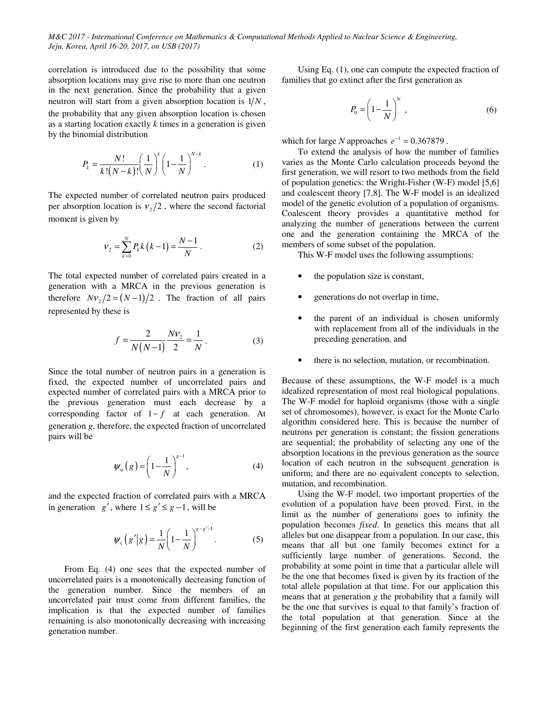correlation is introduced due to the possibility that some absorption locations may give rise to more than one neutron in the next generation. Since the probability that a given neutron will start from a given absorption location is  $1/N$ , the probability that any given absorption location is chosen as a starting location exactly *k* times in a generation is given by the binomial distribution

$$
P_{k} = \frac{N!}{k!(N-k)!} \left(\frac{1}{N}\right)^{k} \left(1 - \frac{1}{N}\right)^{N-k}.
$$
 (1)

The expected number of correlated neutron pairs produced per absorption location is  $v_2/2$ , where the second factorial moment is given by

$$
V_2 = \sum_{k=0}^{N} P_k k (k-1) = \frac{N-1}{N} .
$$
 (2)

The total expected number of correlated pairs created in a generation with a MRCA in the previous generation is therefore  $Nv_2/2 = (N-1)/2$ . The fraction of all pairs represented by these is

$$
f = \frac{2}{N(N-1)} \frac{Nv_2}{2} = \frac{1}{N}.
$$
 (3)

Since the total number of neutron pairs in a generation is fixed, the expected number of uncorrelated pairs and expected number of correlated pairs with a MRCA prior to the previous generation must each decrease by a corresponding factor of 1− *f* at each generation. At generation *g*, therefore, the expected fraction of uncorrelated pairs will be

$$
\psi_{u}(g) = \left(1 - \frac{1}{N}\right)^{g-1},\tag{4}
$$

and the expected fraction of correlated pairs with a MRCA in generation *g'*, where  $1 ≤ g' ≤ g - 1$ , will be

$$
\Psi_c(g'|g) = \frac{1}{N} \left( 1 - \frac{1}{N} \right)^{g - g' - 1}.
$$
 (5)

From Eq. (4) one sees that the expected number of uncorrelated pairs is a monotonically decreasing function of the generation number. Since the members of an uncorrelated pair must come from different families, the implication is that the expected number of families remaining is also monotonically decreasing with increasing generation number.

Using Eq. (1), one can compute the expected fraction of families that go extinct after the first generation as

$$
P_0 = \left(1 - \frac{1}{N}\right)^N \,,\tag{6}
$$

which for large *N* approaches  $e^{-1} = 0.367879$ .

To extend the analysis of how the number of families varies as the Monte Carlo calculation proceeds beyond the first generation, we will resort to two methods from the field of population genetics: the Wright-Fisher (W-F) model [5,6] and coalescent theory [7,8]. The W-F model is an idealized model of the genetic evolution of a population of organisms. Coalescent theory provides a quantitative method for analyzing the number of generations between the current one and the generation containing the MRCA of the members of some subset of the population.

This W-F model uses the following assumptions:

- the population size is constant,
- generations do not overlap in time,
- the parent of an individual is chosen uniformly with replacement from all of the individuals in the preceding generation, and
- there is no selection, mutation, or recombination.

Because of these assumptions, the W-F model is a much idealized representation of most real biological populations. The W-F model for haploid organisms (those with a single set of chromosomes), however, is exact for the Monte Carlo algorithm considered here. This is because the number of neutrons per generation is constant; the fission generations are sequential; the probability of selecting any one of the absorption locations in the previous generation as the source location of each neutron in the subsequent generation is uniform; and there are no equivalent concepts to selection, mutation, and recombination.

Using the W-F model, two important properties of the evolution of a population have been proved. First, in the limit as the number of generations goes to infinity the population becomes *fixed*. In genetics this means that all alleles but one disappear from a population. In our case, this means that all but one family becomes extinct for a sufficiently large number of generations. Second, the probability at some point in time that a particular allele will be the one that becomes fixed is given by its fraction of the total allele population at that time. For our application this means that at generation *g* the probability that a family will be the one that survives is equal to that family's fraction of the total population at that generation. Since at the beginning of the first generation each family represents the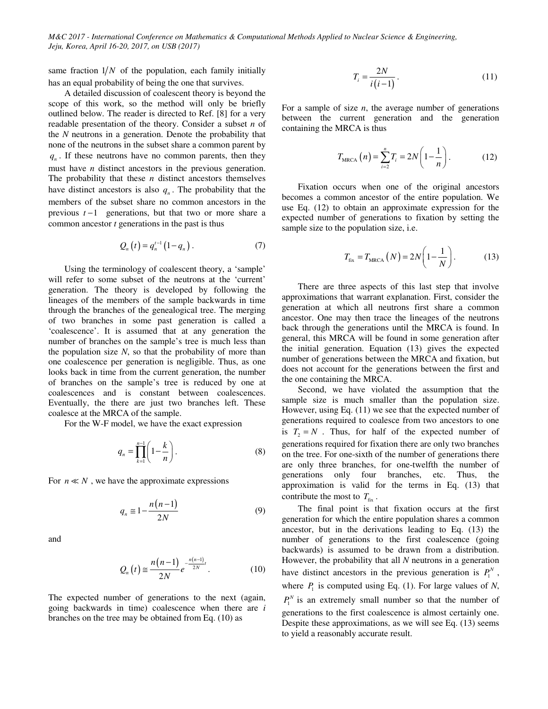same fraction  $1/N$  of the population, each family initially has an equal probability of being the one that survives.

A detailed discussion of coalescent theory is beyond the scope of this work, so the method will only be briefly outlined below. The reader is directed to Ref. [8] for a very readable presentation of the theory. Consider a subset *n* of the *N* neutrons in a generation. Denote the probability that none of the neutrons in the subset share a common parent by  $q_n$ . If these neutrons have no common parents, then they must have *n* distinct ancestors in the previous generation. The probability that these *n* distinct ancestors themselves have distinct ancestors is also  $q_n$ . The probability that the members of the subset share no common ancestors in the previous *t* −1 generations, but that two or more share a common ancestor *t* generations in the past is thus

$$
Q_n(t) = q_n^{t-1} (1 - q_n).
$$
 (7)

Using the terminology of coalescent theory, a 'sample' will refer to some subset of the neutrons at the 'current' generation. The theory is developed by following the lineages of the members of the sample backwards in time through the branches of the genealogical tree. The merging of two branches in some past generation is called a 'coalescence'. It is assumed that at any generation the number of branches on the sample's tree is much less than the population size *N*, so that the probability of more than one coalescence per generation is negligible. Thus, as one looks back in time from the current generation, the number of branches on the sample's tree is reduced by one at coalescences and is constant between coalescences. Eventually, the there are just two branches left. These coalesce at the MRCA of the sample.

For the W-F model, we have the exact expression

$$
q_n = \prod_{k=1}^{n-1} \left( 1 - \frac{k}{n} \right). \tag{8}
$$

For  $n \ll N$ , we have the approximate expressions

$$
q_n \equiv 1 - \frac{n(n-1)}{2N} \tag{9}
$$

and

$$
Q_n(t) \approx \frac{n(n-1)}{2N} e^{-\frac{n(n-1)}{2N}t}.
$$
 (10)

The expected number of generations to the next (again, going backwards in time) coalescence when there are *i* branches on the tree may be obtained from Eq. (10) as

$$
T_i = \frac{2N}{i(i-1)}.
$$
\n<sup>(11)</sup>

For a sample of size *n*, the average number of generations between the current generation and the generation containing the MRCA is thus

$$
T_{\text{MRCA}}(n) = \sum_{i=2}^{n} T_i = 2N \left( 1 - \frac{1}{n} \right). \tag{12}
$$

Fixation occurs when one of the original ancestors becomes a common ancestor of the entire population. We use Eq. (12) to obtain an approximate expression for the expected number of generations to fixation by setting the sample size to the population size, i.e.

$$
T_{\text{fix}} = T_{\text{MRCA}}\left(N\right) = 2N\left(1 - \frac{1}{N}\right). \tag{13}
$$

There are three aspects of this last step that involve approximations that warrant explanation. First, consider the generation at which all neutrons first share a common ancestor. One may then trace the lineages of the neutrons back through the generations until the MRCA is found. In general, this MRCA will be found in some generation after the initial generation. Equation (13) gives the expected number of generations between the MRCA and fixation, but does not account for the generations between the first and the one containing the MRCA.

Second, we have violated the assumption that the sample size is much smaller than the population size. However, using Eq. (11) we see that the expected number of generations required to coalesce from two ancestors to one is  $T_2 = N$ . Thus, for half of the expected number of generations required for fixation there are only two branches on the tree. For one-sixth of the number of generations there are only three branches, for one-twelfth the number of generations only four branches, etc. Thus, the approximation is valid for the terms in Eq. (13) that contribute the most to  $T_{fix}$ .

The final point is that fixation occurs at the first generation for which the entire population shares a common ancestor, but in the derivations leading to Eq. (13) the number of generations to the first coalescence (going backwards) is assumed to be drawn from a distribution. However, the probability that all *N* neutrons in a generation have distinct ancestors in the previous generation is  $P_1^N$ , where  $P_1$  is computed using Eq. (1). For large values of *N*,  $P_1^N$  is an extremely small number so that the number of generations to the first coalescence is almost certainly one. Despite these approximations, as we will see Eq. (13) seems to yield a reasonably accurate result.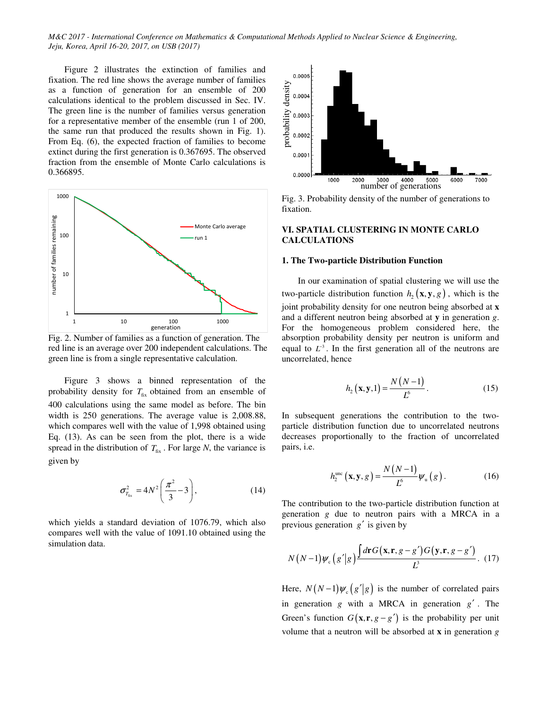Figure 2 illustrates the extinction of families and fixation. The red line shows the average number of families as a function of generation for an ensemble of 200 calculations identical to the problem discussed in Sec. IV. The green line is the number of families versus generation for a representative member of the ensemble (run 1 of 200, the same run that produced the results shown in Fig. 1). From Eq. (6), the expected fraction of families to become extinct during the first generation is 0.367695. The observed fraction from the ensemble of Monte Carlo calculations is 0.366895.



Fig. 2. Number of families as a function of generation. The red line is an average over 200 independent calculations. The green line is from a single representative calculation.

Figure 3 shows a binned representation of the probability density for  $T_{fix}$  obtained from an ensemble of 400 calculations using the same model as before. The bin width is 250 generations. The average value is 2,008.88, which compares well with the value of 1,998 obtained using Eq. (13). As can be seen from the plot, there is a wide spread in the distribution of  $T_{fix}$ . For large *N*, the variance is given by

$$
\sigma_{T_{\text{fix}}}^2 = 4N^2 \left( \frac{\pi^2}{3} - 3 \right), \tag{14}
$$

which yields a standard deviation of 1076.79, which also compares well with the value of 1091.10 obtained using the simulation data.



Fig. 3. Probability density of the number of generations to fixation.

### **VI. SPATIAL CLUSTERING IN MONTE CARLO CALCULATIONS**

#### **1. The Two-particle Distribution Function**

In our examination of spatial clustering we will use the two-particle distribution function  $h_2$  (**x**, **y**, *g*), which is the joint probability density for one neutron being absorbed at **x** and a different neutron being absorbed at **y** in generation *g*. For the homogeneous problem considered here, the absorption probability density per neutron is uniform and equal to  $L^{-3}$ . In the first generation all of the neutrons are uncorrelated, hence

$$
h_2(\mathbf{x}, \mathbf{y}, 1) = \frac{N(N-1)}{L^6}.
$$
 (15)

In subsequent generations the contribution to the twoparticle distribution function due to uncorrelated neutrons decreases proportionally to the fraction of uncorrelated pairs, i.e.

$$
h_2^{\text{unc}}\left(\mathbf{x},\mathbf{y},g\right) = \frac{N\left(N-1\right)}{L^6} \psi_\mathbf{u}\left(g\right). \tag{16}
$$

The contribution to the two-particle distribution function at generation *g* due to neutron pairs with a MRCA in a previous generation *g*′ is given by

$$
N(N-1)\psi_c\left(g'\big|g\right)\frac{\int d\mathbf{r}G(\mathbf{x},\mathbf{r},g-g')G(\mathbf{y},\mathbf{r},g-g')}{L^3}.
$$
 (17)

Here,  $N(N-1)\psi_{c}(g'|g)$  is the number of correlated pairs in generation *g* with a MRCA in generation *g*′ . The Green's function  $G(\mathbf{x}, \mathbf{r}, g - g')$  is the probability per unit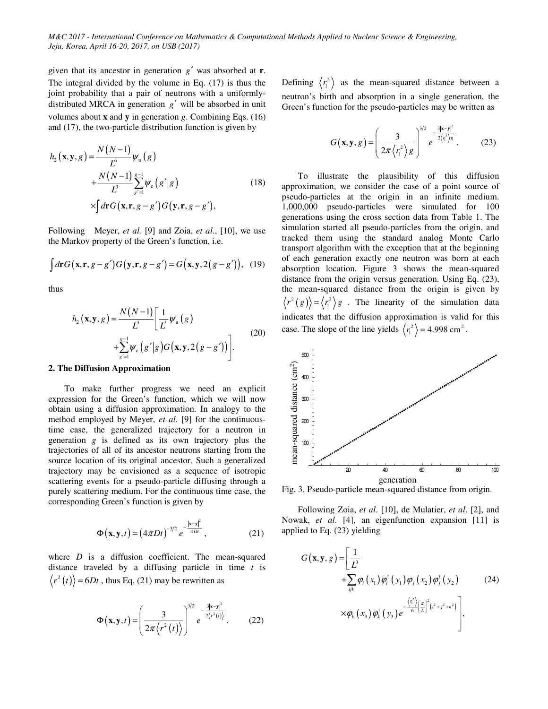given that its ancestor in generation *g*′ was absorbed at **r**. The integral divided by the volume in Eq. (17) is thus the joint probability that a pair of neutrons with a uniformlydistributed MRCA in generation *g*′ will be absorbed in unit volumes about **x** and **y** in generation *g*. Combining Eqs. (16) and (17), the two-particle distribution function is given by

$$
h_2(\mathbf{x}, \mathbf{y}, g) = \frac{N(N-1)}{L^6} \psi_u(g)
$$
  
+ 
$$
\frac{N(N-1)}{L^3} \sum_{g'=1}^{g-1} \psi_c(g'|g)
$$
 (18)  

$$
\times \int d\mathbf{r} G(\mathbf{x}, \mathbf{r}, g - g') G(\mathbf{y}, \mathbf{r}, g - g'),
$$

Following Meyer, *et al.* [9] and Zoia, *et al*., [10], we use the Markov property of the Green's function, i.e.

$$
\int d\mathbf{r} G(\mathbf{x}, \mathbf{r}, g - g') G(\mathbf{y}, \mathbf{r}, g - g') = G(\mathbf{x}, \mathbf{y}, 2(g - g')), \quad (19)
$$

thus

$$
h_2(\mathbf{x}, \mathbf{y}, g) = \frac{N(N-1)}{L^3} \left[ \frac{1}{L^3} \psi_u(g) + \sum_{g'=1}^{g-1} \psi_c(g')g\right] G(\mathbf{x}, \mathbf{y}, 2(g-g')) \Bigg].
$$
 (20)

#### **2. The Diffusion Approximation**

To make further progress we need an explicit expression for the Green's function, which we will now obtain using a diffusion approximation. In analogy to the method employed by Meyer, *et al.* [9] for the continuoustime case, the generalized trajectory for a neutron in generation *g* is defined as its own trajectory plus the trajectories of all of its ancestor neutrons starting from the source location of its original ancestor. Such a generalized trajectory may be envisioned as a sequence of isotropic scattering events for a pseudo-particle diffusing through a purely scattering medium. For the continuous time case, the corresponding Green's function is given by

$$
\Phi(\mathbf{x}, \mathbf{y}, t) = (4\pi Dt)^{-3/2} e^{-\frac{|\mathbf{x} - \mathbf{y}|^2}{4Dt}}, \tag{21}
$$

where *D* is a diffusion coefficient. The mean-squared distance traveled by a diffusing particle in time *t* is  $r^2(t)$  = 6Dt, thus Eq. (21) may be rewritten as

$$
\Phi(\mathbf{x}, \mathbf{y}, t) = \left(\frac{3}{2\pi \langle r^2(t)\rangle}\right)^{3/2} e^{-\frac{3|\mathbf{x}-\mathbf{y}|^2}{2\langle r^2(t)\rangle}}.
$$
 (22)

Defining  $\langle r_1^2 \rangle$  as the mean-squared distance between a neutron's birth and absorption in a single generation, the Green's function for the pseudo-particles may be written as

$$
G(\mathbf{x}, \mathbf{y}, g) = \left(\frac{3}{2\pi \left\langle r_1^2 \right\rangle g}\right)^{3/2} e^{-\frac{3|\mathbf{x} - \mathbf{y}|^2}{2 \left\langle r_1^2 \right\rangle g}}.
$$
 (23)

To illustrate the plausibility of this diffusion approximation, we consider the case of a point source of pseudo-particles at the origin in an infinite medium. 1,000,000 pseudo-particles were simulated for 100 generations using the cross section data from Table 1. The simulation started all pseudo-particles from the origin, and tracked them using the standard analog Monte Carlo transport algorithm with the exception that at the beginning of each generation exactly one neutron was born at each absorption location. Figure 3 shows the mean-squared distance from the origin versus generation. Using Eq. (23), the mean-squared distance from the origin is given by  $r^2(g)$  =  $\langle r_1^2 \rangle g$ . The linearity of the simulation data indicates that the diffusion approximation is valid for this case. The slope of the line yields  $\langle r_1^2 \rangle$  = 4.998 cm<sup>2</sup>.



Fig. 3. Pseudo-particle mean-squared distance from origin.

Following Zoia, *et al*. [10], de Mulatier, *et al*. [2], and Nowak, *et al*. [4], an eigenfunction expansion [11] is applied to Eq. (23) yielding

$$
G(\mathbf{x}, \mathbf{y}, g) = \left[\frac{1}{L^3} + \sum_{ijk} \varphi_i(x_1) \varphi_i^{\dagger}(y_1) \varphi_j(x_2) \varphi_j^{\dagger}(y_2) + \varphi_k(x_3) \varphi_k^{\dagger}(y_3) e^{-\frac{\left\langle r_i^2 \right\rangle \left(\frac{\pi}{L}\right)^2 \left(i^2 + j^2 + k^2\right)}{6}}\right],
$$
\n(24)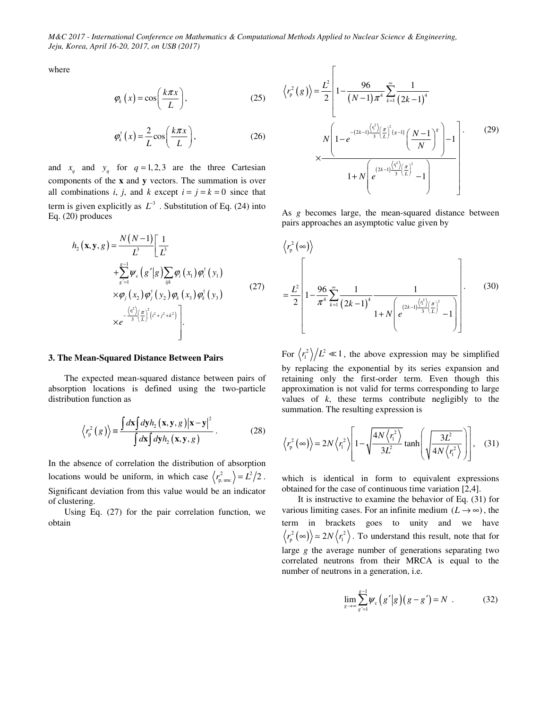where

$$
\varphi_k(x) = \cos\left(\frac{k\pi x}{L}\right),\tag{25}
$$

$$
\varphi_k^{\dagger}(x) = \frac{2}{L} \cos\left(\frac{k\pi x}{L}\right),\tag{26}
$$

and  $x_q$  and  $y_q$  for  $q = 1, 2, 3$  are the three Cartesian components of the **x** and **y** vectors. The summation is over all combinations *i*, *j*, and *k* except  $i = j = k = 0$  since that term is given explicitly as  $L^{-3}$ . Substitution of Eq. (24) into Eq. (20) produces

$$
h_2(\mathbf{x}, \mathbf{y}, g) = \frac{N(N-1)}{L^3} \left[ \frac{1}{L^3} + \sum_{g'=1}^{g-1} \psi_c(g'|g) \sum_{ijk} \varphi_i(x_1) \varphi_i^{\dagger}(y_1) \times \varphi_j(x_2) \varphi_j^{\dagger}(y_2) \varphi_k(x_3) \varphi_k^{\dagger}(y_3)
$$
\n
$$
\times e^{-\frac{\left\langle r_i^2 \right\rangle \left\langle \frac{\pi}{L} \right\rangle^2 \left\langle i^2 + j^2 + k^2 \right\rangle}{2}} \right].
$$
\n(27)

#### **3. The Mean-Squared Distance Between Pairs**

The expected mean-squared distance between pairs of absorption locations is defined using the two-particle distribution function as

$$
\left\langle r_{\rm p}^2(g) \right\rangle \equiv \frac{\int d\mathbf{x} \int d\mathbf{y} h_2(\mathbf{x}, \mathbf{y}, g) |\mathbf{x} - \mathbf{y}|^2}{\int d\mathbf{x} \int d\mathbf{y} h_2(\mathbf{x}, \mathbf{y}, g)}.
$$
 (28)

In the absence of correlation the distribution of absorption locations would be uniform, in which case  $\langle r_{p,\text{unc}}^2 \rangle = L^2/2$ . Significant deviation from this value would be an indicator of clustering.

Using Eq. (27) for the pair correlation function, we obtain

$$
\langle r_{\rm p}^{2}(g) \rangle = \frac{L^{2}}{2} \left[ 1 - \frac{96}{(N-1)\pi^{4}} \sum_{k=1}^{\infty} \frac{1}{(2k-1)^{4}} \right]
$$

$$
\times \frac{N \left[ 1 - e^{-(2k-1)\frac{\langle r_{\rm i}^{2} \rangle}{3} \left( \frac{\pi}{L} \right)^{2} (s-1)} \left( \frac{N-1}{N} \right)^{g} \right] - 1}{1 + N \left( e^{(2k-1)\frac{\langle r_{\rm i}^{2} \rangle}{3} \left( \frac{\pi}{L} \right)^{2}} - 1 \right)} \tag{29}
$$

 $\mathbf{r}$ 

As *g* becomes large, the mean-squared distance between pairs approaches an asymptotic value given by

$$
\left\langle r_{\rm p}^{2}(\infty) \right\rangle
$$
\n
$$
= \frac{L^{2}}{2} \left[ 1 - \frac{96}{\pi^{4}} \sum_{k=1}^{\infty} \frac{1}{\left( 2k - 1 \right)^{4}} \frac{1}{1 + N \left( e^{\left( 2k - 1 \right) \frac{\left\langle r_{\rm i}^{2} \right\rangle \left( \frac{\pi}{L} \right)^{2}}{3} - 1} \right)} \right].
$$
\n(30)

For  $\langle r_1^2 \rangle / L^2 \ll 1$ , the above expression may be simplified by replacing the exponential by its series expansion and retaining only the first-order term. Even though this approximation is not valid for terms corresponding to large values of *k*, these terms contribute negligibly to the summation. The resulting expression is

$$
\langle r_{\rm p}^2 (\infty) \rangle = 2N \langle r_{\rm i}^2 \rangle \left[ 1 - \sqrt{\frac{4N \langle r_{\rm i}^2 \rangle}{3L^2}} \tanh \left( \sqrt{\frac{3L^2}{4N \langle r_{\rm i}^2 \rangle}} \right) \right],
$$
 (31)

which is identical in form to equivalent expressions obtained for the case of continuous time variation [2,4].

It is instructive to examine the behavior of Eq. (31) for various limiting cases. For an infinite medium  $(L \rightarrow \infty)$ , the term in brackets goes to unity and we have  $r_{\rm p}^2(\infty)$  = 2N $\langle r_1^2 \rangle$ . To understand this result, note that for large *g* the average number of generations separating two correlated neutrons from their MRCA is equal to the number of neutrons in a generation, i.e.

$$
\lim_{g \to \infty} \sum_{g'=1}^{g-1} \psi_c(g'|g)(g-g') = N . \tag{32}
$$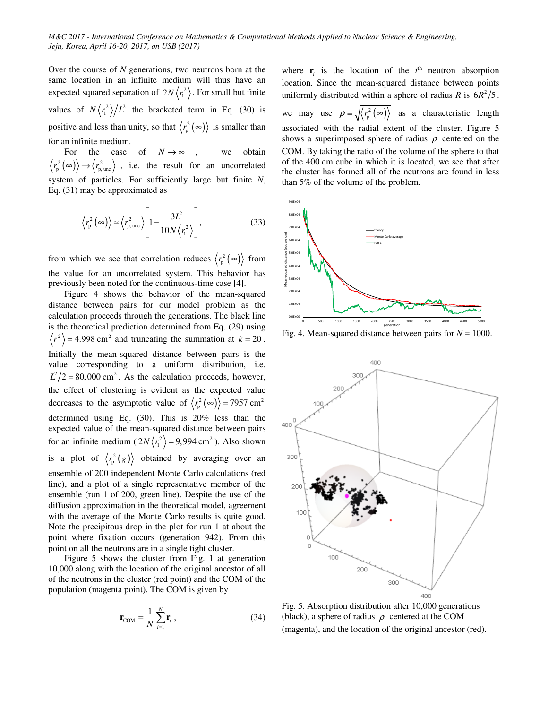Over the course of *N* generations, two neutrons born at the same location in an infinite medium will thus have an expected squared separation of  $2N \langle r_1^2 \rangle$ . For small but finite values of  $N \langle r_1^2 \rangle / L^2$  the bracketed term in Eq. (30) is positive and less than unity, so that  $\langle r_{p}^{2}(\infty)\rangle$  is smaller than for an infinite medium.

For the case of  $N \rightarrow \infty$ , we obtain  $r_{\rm p}^2(\infty)$   $\rightarrow$   $\langle r_{\rm p,unc}^2 \rangle$  , i.e. the result for an uncorrelated system of particles. For sufficiently large but finite *N*, Eq. (31) may be approximated as

$$
\langle r_{\rm p}^2 \left( \infty \right) \rangle \simeq \langle r_{\rm p, unc}^2 \rangle \left[ 1 - \frac{3L^2}{10N \langle r_1^2 \rangle} \right],
$$
 (33)

from which we see that correlation reduces  $\langle r_p^2(\infty) \rangle$  from the value for an uncorrelated system. This behavior has previously been noted for the continuous-time case [4].

Figure 4 shows the behavior of the mean-squared distance between pairs for our model problem as the calculation proceeds through the generations. The black line is the theoretical prediction determined from Eq. (29) using  $r_1^2$  = 4.998 cm<sup>2</sup> and truncating the summation at  $k = 20$ . Initially the mean-squared distance between pairs is the value corresponding to a uniform distribution, i.e.  $L^2/2 = 80,000 \text{ cm}^2$ . As the calculation proceeds, however, the effect of clustering is evident as the expected value decreases to the asymptotic value of  $\langle r_p^2 (\infty) \rangle = 7957 \text{ cm}^2$ determined using Eq. (30). This is 20% less than the expected value of the mean-squared distance between pairs for an infinite medium ( $2N \langle r_1^2 \rangle = 9.994 \text{ cm}^2$ ). Also shown is a plot of  $\langle r_p^2(g) \rangle$  obtained by averaging over an ensemble of 200 independent Monte Carlo calculations (red line), and a plot of a single representative member of the ensemble (run 1 of 200, green line). Despite the use of the diffusion approximation in the theoretical model, agreement with the average of the Monte Carlo results is quite good. Note the precipitous drop in the plot for run 1 at about the point where fixation occurs (generation 942). From this point on all the neutrons are in a single tight cluster.

Figure 5 shows the cluster from Fig. 1 at generation 10,000 along with the location of the original ancestor of all of the neutrons in the cluster (red point) and the COM of the population (magenta point). The COM is given by

$$
\mathbf{r}_{COM} = \frac{1}{N} \sum_{i=1}^{N} \mathbf{r}_i , \qquad (34)
$$

where  $\mathbf{r}_i$  is the location of the  $i^{\text{th}}$  neutron absorption location. Since the mean-squared distance between points uniformly distributed within a sphere of radius *R* is  $6R^2/5$ . we may use  $\rho \equiv \sqrt{\langle r_p^2 (\infty) \rangle}$  as a characteristic length associated with the radial extent of the cluster. Figure 5 shows a superimposed sphere of radius  $\rho$  centered on the COM. By taking the ratio of the volume of the sphere to that of the 400 cm cube in which it is located, we see that after the cluster has formed all of the neutrons are found in less than 5% of the volume of the problem.



Fig. 4. Mean-squared distance between pairs for  $N = 1000$ .



Fig. 5. Absorption distribution after 10,000 generations (black), a sphere of radius  $\rho$  centered at the COM (magenta), and the location of the original ancestor (red).